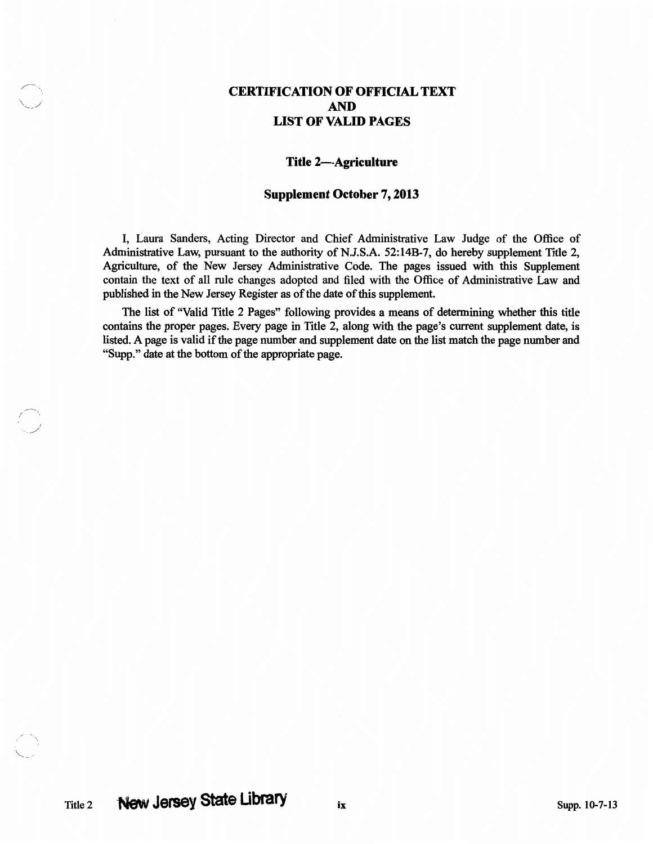## CERTIFICATION OF OFFICIAL TEXT AND LIST OF VALID PAGES

## Title 2-Agriculture

## Supplement October 7, 2013

I, Laura Sanders, Acting Director and Chief Administrative Law Judge of the Office of Administrative Law, pursuant to the authority of N.J.S.A. 52:14B-7, do hereby supplement Title 2, Agriculture, of the New Jersey Administrative Code. The pages issued with this Supplement contain the text of all rule changes adopted and filed with the Office of Administrative Law and published in the New Jersey Register as of the date of this supplement.

The list of "Valid Title 2 Pages" following provides a means of determining whether this title contains the proper pages. Every page in Title 2, along with the page's current supplement date, is listed. A page is valid if the page number and supplement date on the list match the page nwnber and "Supp." date at the bottom of the appropriate page.

I ,,\_/

 $\ddot{\phantom{0}}$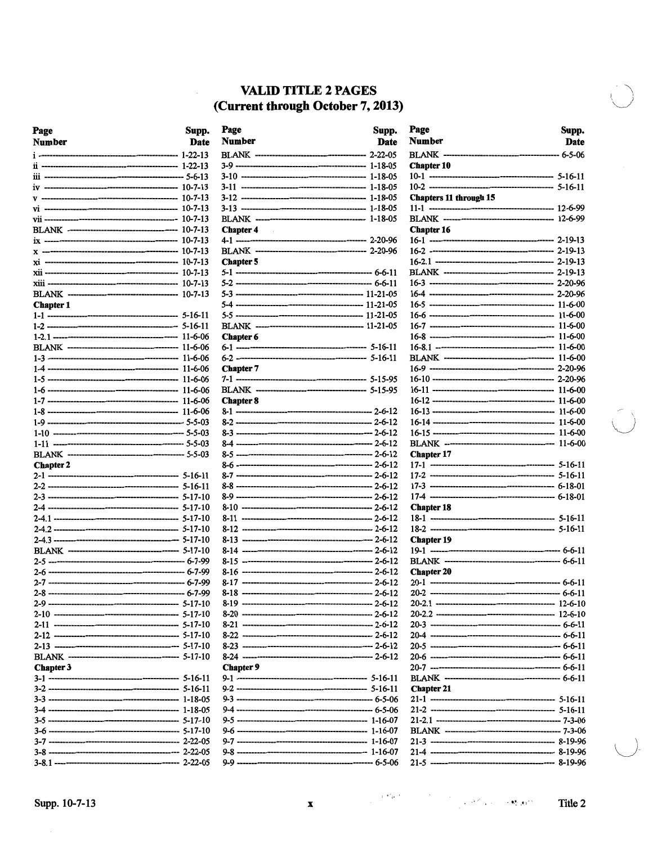## **VALID TITLE 2 PAGES** (Current through October 7, 2013)

| Page<br><b>Number</b> | Supp.<br>Date | Pago<br>Nun |
|-----------------------|---------------|-------------|
|                       |               | <b>BLA</b>  |
|                       |               | 3-9 -       |
|                       |               | $3-10$      |
|                       |               | $3-11$      |
|                       |               | $3-12$      |
|                       |               | $3 - 13$    |
|                       |               | <b>BLA</b>  |
|                       |               | Cha         |
|                       |               | 4-1 -       |
|                       |               | BLA         |
|                       |               | Cha         |
|                       |               | 5-1 -       |
|                       |               | 5-2 -       |
|                       |               | $5 - 3 -$   |
| <b>Chapter 1</b>      |               | $5 - 4 -$   |
|                       |               | $5 - 5 -$   |
|                       |               | <b>BLA</b>  |
|                       |               | Cha         |
|                       |               | $6 - 1 -$   |
|                       |               | $6 - 2 -$   |
|                       |               | Cha         |
|                       |               | 7-1 -       |
|                       |               | <b>BLA</b>  |
|                       |               | $Chal$      |
|                       |               | $8 - 1 -$   |
|                       |               | $8-2$ .     |
|                       |               | $8 - 3 -$   |
|                       |               | $8-4 -$     |
|                       |               | 8-5 -       |
| <b>Chapter 2</b>      |               | 8-6 -       |
|                       |               | $8-7$ .     |
|                       |               | 8-8 -       |
|                       |               | 8-9 -       |
|                       |               | 8-10        |
|                       |               | 8-11        |
|                       |               | 8-12        |
|                       |               | 8-13        |
|                       |               | $8 - 14$    |
|                       |               | $8 - 15$    |
|                       |               | $8 - 16$    |
|                       |               | $8 - 17$    |
|                       |               | $8 - 18$    |
|                       |               | 8-19        |
|                       |               | $8 - 20$    |
|                       |               | 8-21        |
|                       |               | 8-22        |
|                       |               | 8-23        |
|                       |               | 8-24        |
| <b>Chapter 3</b>      |               | Cha         |
|                       |               | 9-1 ·       |
|                       |               | $9-2$       |
|                       |               | 9-3.        |
|                       |               | $9-4$ .     |
|                       |               | . 5-9       |
|                       |               | . 9-6       |
|                       |               | $9-7$ .     |
|                       |               | 9-8         |
|                       |               | . و۔و       |
|                       |               |             |

| Page             | Supp.       |
|------------------|-------------|
| <b>Number</b>    | <b>Date</b> |
|                  |             |
|                  |             |
|                  |             |
|                  |             |
|                  |             |
|                  |             |
|                  |             |
| <b>Chapter 4</b> |             |
|                  |             |
|                  |             |
| <b>Chapter 5</b> |             |
|                  |             |
|                  |             |
|                  |             |
|                  |             |
|                  |             |
| <b>Chapter 6</b> |             |
|                  |             |
|                  |             |
| <b>Chapter 7</b> |             |
|                  |             |
|                  |             |
| <b>Chapter 8</b> |             |
|                  |             |
|                  |             |
|                  |             |
|                  |             |
|                  |             |
|                  |             |
|                  |             |
|                  |             |
|                  |             |
|                  |             |
|                  |             |
|                  |             |
|                  |             |
|                  |             |
|                  |             |
|                  |             |
|                  |             |
|                  |             |
|                  |             |
|                  |             |
|                  |             |
|                  |             |
|                  |             |
| <b>Chapter 9</b> |             |
|                  |             |
|                  |             |
|                  |             |
|                  |             |
|                  |             |
|                  |             |
|                  |             |
|                  |             |
|                  |             |

| Page<br>Number         | Supp.<br>Date |
|------------------------|---------------|
|                        |               |
| <b>Chapter 10</b>      |               |
|                        |               |
|                        |               |
| Chapters 11 through 15 |               |
|                        |               |
| <b>Chapter 16</b>      |               |
|                        |               |
|                        |               |
|                        |               |
|                        |               |
|                        |               |
|                        |               |
|                        |               |
|                        |               |
|                        |               |
|                        |               |
|                        |               |
|                        |               |
|                        |               |
|                        |               |
|                        |               |
|                        |               |
|                        |               |
|                        |               |
|                        |               |
|                        |               |
| <b>Chapter 17</b>      |               |
|                        |               |
|                        |               |
|                        |               |
| <b>Chapter 18</b>      |               |
|                        |               |
|                        |               |
| <b>Chapter 19</b>      |               |
|                        |               |
|                        |               |
| <b>Chapter 20</b>      |               |
|                        |               |
|                        | -- 6-6-11     |
|                        |               |
|                        |               |
|                        |               |
|                        |               |
|                        |               |
|                        |               |
|                        |               |
|                        |               |
| <b>Chapter 21</b>      |               |
|                        |               |
|                        |               |
|                        |               |
|                        |               |
|                        |               |
|                        |               |
|                        |               |

 $\epsilon^{-1/2}\rho^{-1}$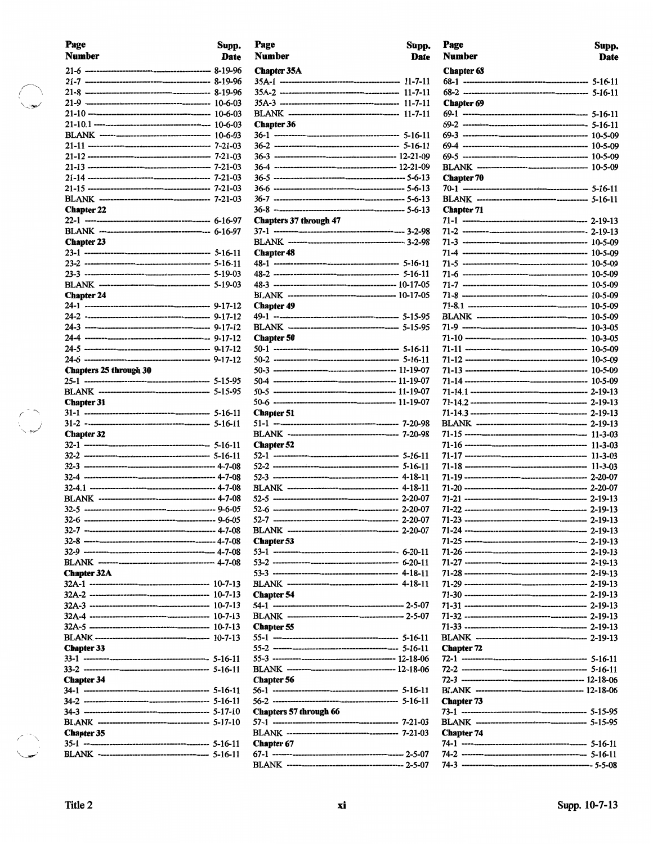| Page                          | Supp. |
|-------------------------------|-------|
| Number                        | Date  |
|                               |       |
|                               |       |
|                               |       |
|                               |       |
|                               |       |
|                               |       |
|                               |       |
|                               |       |
|                               |       |
|                               |       |
|                               |       |
|                               |       |
| <b>Chapter 22</b>             |       |
|                               |       |
|                               |       |
| <b>Chapter 23</b>             |       |
|                               |       |
|                               |       |
|                               |       |
|                               |       |
| <b>Chapter 24</b>             |       |
|                               |       |
|                               |       |
|                               |       |
|                               |       |
|                               |       |
| <b>Chapters 25 through 30</b> |       |
|                               |       |
|                               |       |
| <b>Chapter 31</b>             |       |
|                               |       |
|                               |       |
| <b>Chapter 32</b>             |       |
|                               |       |
|                               |       |
|                               |       |
|                               |       |
|                               |       |
|                               |       |
|                               |       |
|                               |       |
|                               |       |
|                               |       |
|                               |       |
| <b>Chapter 32A</b>            |       |
|                               |       |
|                               |       |
|                               |       |
|                               |       |
|                               |       |
| <b>Chapter 33</b>             |       |
|                               |       |
|                               |       |
| <b>Chapter 34</b>             |       |
|                               |       |
|                               |       |
|                               |       |
|                               |       |
| <b>Chapter 35</b>             |       |
|                               |       |
|                               |       |

 $\begin{picture}(120,20) \put(0,0){\line(1,0){150}} \put(15,0){\line(1,0){150}} \put(15,0){\line(1,0){150}} \put(15,0){\line(1,0){150}} \put(15,0){\line(1,0){150}} \put(15,0){\line(1,0){150}} \put(15,0){\line(1,0){150}} \put(15,0){\line(1,0){150}} \put(15,0){\line(1,0){150}} \put(15,0){\line(1,0){150}} \put(15,0){\line(1,0){150}}$ 

| Page                   | Supp. |
|------------------------|-------|
| Number                 | Date  |
| <b>Chapter 35A</b>     |       |
|                        |       |
|                        |       |
|                        |       |
| <b>Chapter 36</b>      |       |
|                        |       |
|                        |       |
|                        |       |
|                        |       |
|                        |       |
|                        |       |
|                        |       |
| Chapters 37 through 47 |       |
|                        |       |
|                        |       |
| <b>Chapter 48</b>      |       |
|                        |       |
|                        |       |
|                        |       |
| <b>Chapter 49</b>      |       |
|                        |       |
|                        |       |
| <b>Chapter 50</b>      |       |
|                        |       |
|                        |       |
|                        |       |
|                        |       |
|                        |       |
| <b>Chapter 51</b>      |       |
|                        |       |
| <b>Chapter 52</b>      |       |
|                        |       |
|                        |       |
|                        |       |
|                        |       |
|                        |       |
|                        |       |
|                        |       |
| <b>Chapter 53</b>      |       |
|                        |       |
|                        |       |
|                        |       |
|                        |       |
| <b>Chapter 54</b>      |       |
|                        |       |
| <b>Chapter 55</b>      |       |
|                        |       |
|                        |       |
|                        |       |
|                        |       |
| <b>Chapter 56</b>      |       |
|                        |       |
| Chapters 57 through 66 |       |
|                        |       |
|                        |       |
| <b>Chapter 67</b>      |       |
|                        |       |

| Page<br>Number    | Supp.<br><b>Date</b> |
|-------------------|----------------------|
| <b>Chapter 68</b> |                      |
|                   |                      |
|                   |                      |
| <b>Chapter 69</b> |                      |
|                   |                      |
|                   |                      |
|                   |                      |
|                   |                      |
|                   |                      |
| <b>Chapter 70</b> |                      |
|                   |                      |
|                   |                      |
| <b>Chapter 71</b> |                      |
|                   |                      |
|                   |                      |
|                   |                      |
|                   |                      |
|                   |                      |
|                   |                      |
|                   |                      |
|                   |                      |
|                   |                      |
|                   |                      |
|                   |                      |
|                   | 10-5-09              |
|                   |                      |
|                   |                      |
|                   |                      |
|                   |                      |
|                   |                      |
|                   |                      |
|                   |                      |
|                   |                      |
|                   |                      |
|                   |                      |
|                   |                      |
|                   |                      |
|                   |                      |
|                   |                      |
|                   |                      |
|                   |                      |
|                   |                      |
|                   |                      |
|                   |                      |
|                   |                      |
|                   |                      |
|                   |                      |
|                   |                      |
|                   |                      |
| <b>Chapter 72</b> |                      |
|                   |                      |
|                   |                      |
|                   |                      |
|                   |                      |
| <b>Chapter 73</b> |                      |
|                   |                      |
|                   |                      |
| <b>Chapter 74</b> |                      |
|                   |                      |
|                   |                      |
|                   |                      |

 $\begin{pmatrix} 1 \\ 1 \end{pmatrix}$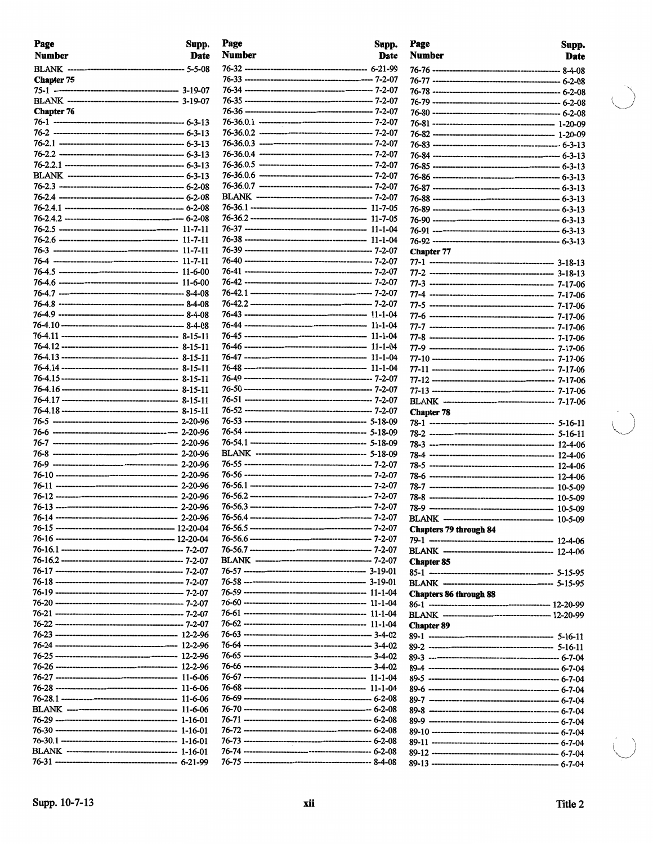| Page<br><b>Number</b> | Supp.<br>Date | Page<br><b>Number</b> | Supp.<br>Date |
|-----------------------|---------------|-----------------------|---------------|
|                       |               |                       |               |
| <b>Chapter 75</b>     |               |                       |               |
|                       |               |                       |               |
|                       |               |                       |               |
| <b>Chapter 76</b>     |               |                       |               |
|                       |               |                       |               |
|                       |               |                       |               |
|                       |               |                       |               |
|                       |               |                       |               |
|                       |               |                       |               |
|                       |               |                       |               |
|                       |               |                       |               |
|                       |               |                       |               |
|                       |               |                       |               |
|                       |               |                       |               |
|                       |               |                       |               |
|                       |               |                       |               |
|                       |               |                       |               |
|                       |               |                       |               |
|                       |               |                       |               |
|                       |               |                       |               |
|                       |               |                       |               |
|                       |               |                       |               |
|                       |               |                       |               |
|                       |               |                       |               |
|                       |               |                       |               |
|                       |               |                       |               |
|                       |               |                       |               |
|                       |               |                       |               |
|                       |               |                       |               |
|                       |               |                       |               |
|                       |               |                       |               |
|                       |               |                       |               |
|                       |               |                       |               |
|                       |               |                       |               |
|                       |               |                       |               |
|                       |               |                       |               |
|                       |               |                       |               |
|                       |               |                       |               |
|                       |               |                       |               |
|                       |               |                       |               |
|                       |               |                       |               |
|                       |               |                       |               |
|                       |               |                       |               |
|                       |               |                       |               |
|                       |               |                       |               |
|                       |               |                       |               |
|                       |               |                       |               |
|                       |               |                       |               |
|                       |               |                       |               |
|                       |               |                       |               |
|                       |               |                       |               |
|                       |               |                       |               |
|                       |               |                       |               |
|                       |               |                       |               |
|                       |               |                       |               |
|                       |               |                       |               |
|                       |               |                       |               |
|                       |               |                       |               |
|                       |               |                       |               |
|                       |               |                       |               |
|                       |               |                       |               |
|                       |               |                       |               |

| Page<br>Number                 | Supp.<br>Date |
|--------------------------------|---------------|
|                                |               |
|                                |               |
|                                |               |
|                                |               |
|                                |               |
|                                |               |
|                                |               |
|                                |               |
|                                |               |
|                                |               |
|                                |               |
|                                |               |
|                                |               |
|                                |               |
|                                |               |
| <b>Chapter 77</b>              |               |
|                                |               |
|                                |               |
|                                |               |
|                                |               |
|                                |               |
|                                |               |
|                                |               |
|                                |               |
|                                |               |
|                                |               |
|                                |               |
|                                |               |
| <b>Chapter 78</b>              |               |
|                                |               |
|                                |               |
|                                |               |
|                                |               |
|                                |               |
|                                |               |
|                                |               |
| <b>BLANK</b> ----------------- |               |
| <b>Chapters 79 through 84</b>  |               |
|                                |               |
|                                |               |
| <b>Chapter 85</b>              |               |
|                                |               |
| <b>Chapters 86 through 88</b>  |               |
|                                |               |
|                                |               |
| <b>Chapter 89</b>              |               |
|                                |               |
|                                |               |
|                                |               |
|                                |               |
|                                |               |
|                                |               |
|                                |               |
|                                |               |
|                                |               |
|                                |               |
|                                |               |